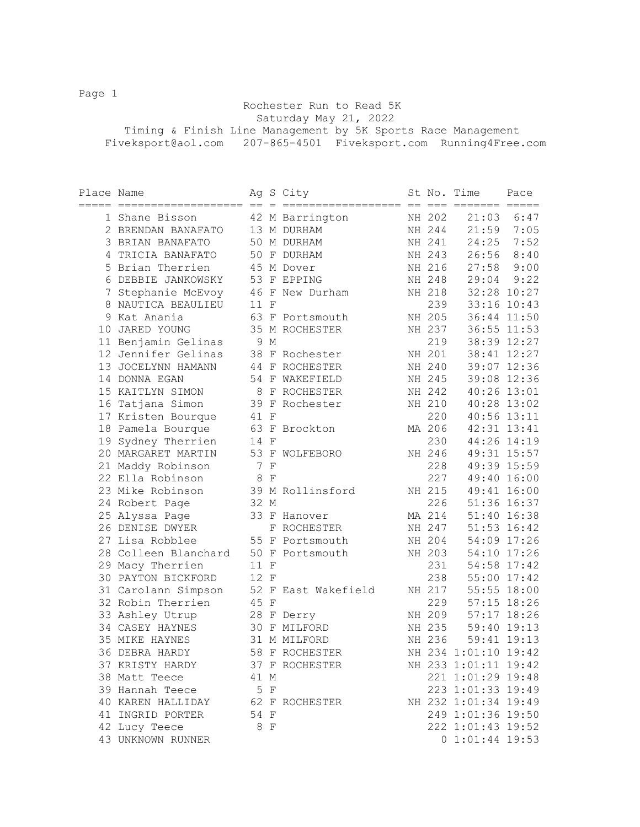Page 1

 Rochester Run to Read 5K Saturday May 21, 2022 Timing & Finish Line Management by 5K Sports Race Management Fiveksport@aol.com 207-865-4501 Fiveksport.com Running4Free.com

| Place Name |                                      |      |     | Ag S City           |        | St No. Time          | Pace          |
|------------|--------------------------------------|------|-----|---------------------|--------|----------------------|---------------|
|            | 1 Shane Bisson                       |      |     | 42 M Barrington     | NH 202 | 21:03                | 6:47          |
|            | 2 BRENDAN BANAFATO                   |      |     | 13 M DURHAM         | NH 244 |                      | $21:59$ 7:05  |
|            | 3 BRIAN BANAFATO                     |      |     | 50 M DURHAM         | NH 241 | 24:25                | 7:52          |
|            | 4 TRICIA BANAFATO                    |      |     | 50 F DURHAM         | NH 243 | 26:56                | 8:40          |
|            | 5 Brian Therrien                     |      |     | 45 M Dover          | NH 216 | 27:58                | 9:00          |
|            | 6 DEBBIE JANKOWSKY                   |      |     | 53 F EPPING         | NH 248 | 29:04                | 9:22          |
|            | 7 Stephanie McEvoy 46 F New Durham   |      |     |                     | NH 218 | 32:28 10:27          |               |
|            | 8 NAUTICA BEAULIEU                   | 11 F |     |                     | 239    |                      | 33:16 10:43   |
|            | 9 Kat Anania                         |      |     | 63 F Portsmouth     | NH 205 |                      | 36:44 11:50   |
|            | 10 JARED YOUNG                       |      |     | 35 M ROCHESTER      | NH 237 |                      | 36:55 11:53   |
|            | 11 Benjamin Gelinas                  |      | 9 M |                     | 219    |                      | 38:39 12:27   |
|            | 12 Jennifer Gelinas                  |      |     | 38 F Rochester      | NH 201 |                      | 38:41 12:27   |
|            | 13 JOCELYNN HAMANN                   |      |     | 44 F ROCHESTER      | NH 240 |                      | 39:07 12:36   |
|            | 14 DONNA EGAN                        |      |     | 54 F WAKEFIELD      | NH 245 |                      | 39:08 12:36   |
|            | 15 KAITLYN SIMON                     |      |     | 8 F ROCHESTER       | NH 242 |                      | 40:26 13:01   |
|            | 16 Tatjana Simon                     |      |     | 39 F Rochester      | NH 210 |                      | 40:28 13:02   |
|            | 17 Kristen Bourque                   | 41 F |     |                     | 220    |                      | 40:56 13:11   |
|            | 18 Pamela Bourque                    |      |     | 63 F Brockton       | MA 206 |                      | 42:31 13:41   |
|            | 19 Sydney Therrien                   | 14 F |     |                     | 230    |                      | 44:26 14:19   |
|            | 20 MARGARET MARTIN                   |      |     | 53 F WOLFEBORO      | NH 246 |                      | 49:31 15:57   |
|            | 21 Maddy Robinson                    |      | 7 F |                     | 228    |                      | 49:39 15:59   |
|            | 22 Ella Robinson                     | 8 F  |     |                     | 227    |                      | 49:40 16:00   |
|            | 23 Mike Robinson                     |      |     | 39 M Rollinsford    | NH 215 | 49:41 16:00          |               |
|            | 24 Robert Page                       | 32 M |     |                     | 226    | 51:36 16:37          |               |
|            | 25 Alyssa Page                       |      |     | 33 F Hanover        | MA 214 | 51:40 16:38          |               |
|            | 26 DENISE DWYER                      |      |     | F ROCHESTER         | NH 247 | $51:53$ $16:42$      |               |
|            | 27 Lisa Robblee                      |      |     | 55 F Portsmouth     | NH 204 | 54:09 17:26          |               |
|            | 28 Colleen Blanchard 50 F Portsmouth |      |     |                     | NH 203 | 54:10 17:26          |               |
|            | 29 Macy Therrien                     | 11 F |     |                     | 231    |                      | 54:58 17:42   |
|            | 30 PAYTON BICKFORD                   | 12 F |     |                     | 238    | 55:00 17:42          |               |
|            | 31 Carolann Simpson                  |      |     | 52 F East Wakefield | NH 217 | 55:55 18:00          |               |
|            | 32 Robin Therrien                    | 45 F |     |                     | 229    |                      | $57:15$ 18:26 |
|            | 33 Ashley Utrup                      |      |     | 28 F Derry          | NH 209 | $57:17$ 18:26        |               |
|            | 34 CASEY HAYNES                      |      |     | 30 F MILFORD        | NH 235 | 59:40 19:13          |               |
|            | 35 MIKE HAYNES                       |      |     | 31 M MILFORD        | NH 236 |                      | 59:41 19:13   |
|            | 36 DEBRA HARDY                       |      |     | 58 F ROCHESTER      |        | NH 234 1:01:10 19:42 |               |
|            | 37 KRISTY HARDY                      |      |     | 37 F ROCHESTER      |        | NH 233 1:01:11 19:42 |               |
|            | 38 Matt Teece                        | 41 M |     |                     |        | 221 1:01:29 19:48    |               |
|            | 39 Hannah Teece                      | 5 F  |     |                     |        | 223 1:01:33 19:49    |               |
|            | 40 KAREN HALLIDAY                    |      |     | 62 F ROCHESTER      |        | NH 232 1:01:34 19:49 |               |
|            | 41 INGRID PORTER                     | 54 F |     |                     |        | 249 1:01:36 19:50    |               |
|            | 42 Lucy Teece                        | 8 F  |     |                     |        | 222 1:01:43 19:52    |               |
|            | 43 UNKNOWN RUNNER                    |      |     |                     |        | $0$ 1:01:44 19:53    |               |